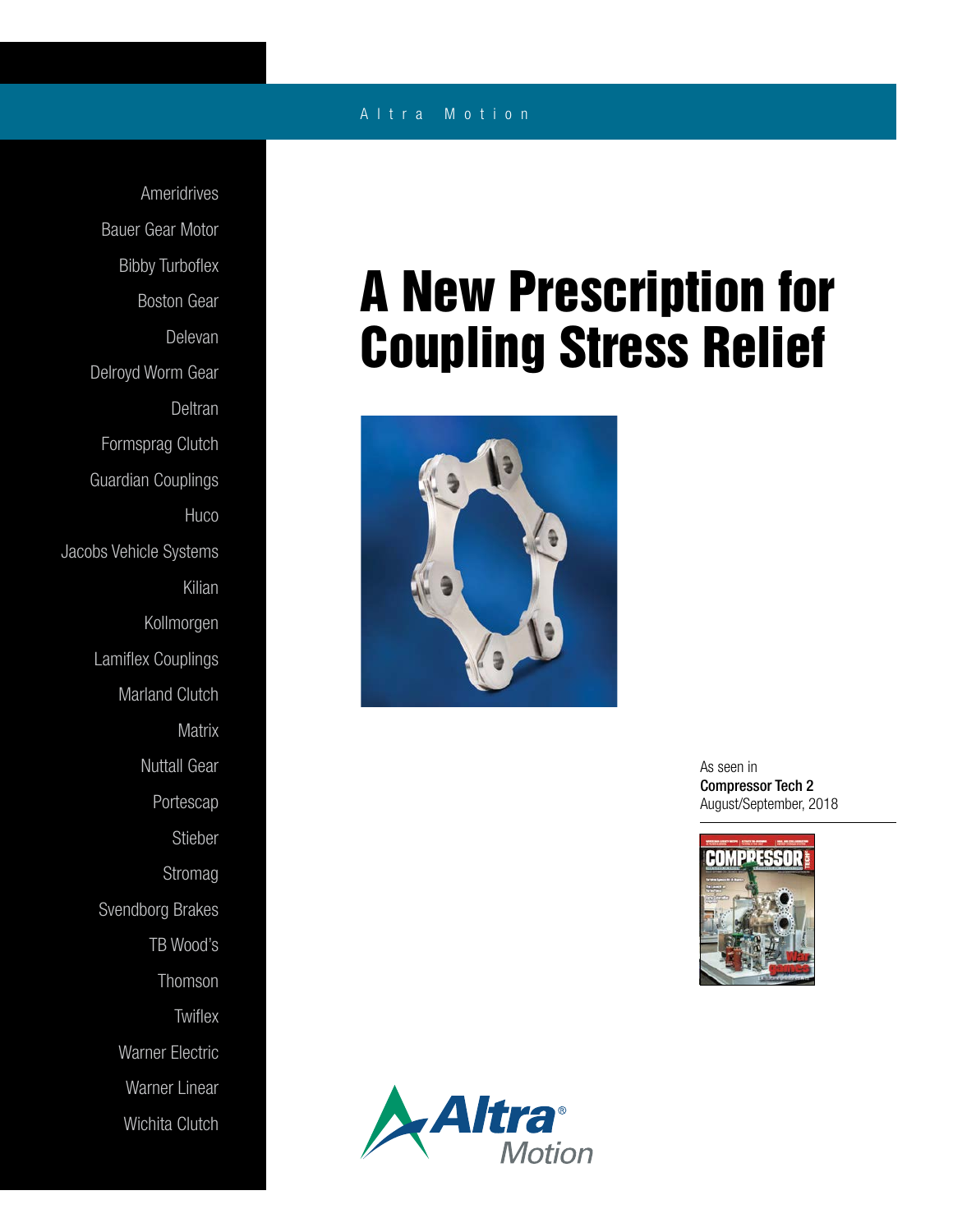## A l t r a M o t i o n

Ameridrives Bauer Gear Motor Bibby Turboflex Boston Gear Delevan Delroyd Worm Gear Deltran Formsprag Clutch Guardian Couplings **Huco** Jacobs Vehicle Systems Kilian Kollmorgen Lamiflex Couplings Marland Clutch **Matrix** Nuttall Gear Portescap Stieber Stromag Svendborg Brakes TB Wood's Thomson **Twiflex** Warner Electric Warner Linear Wichita Clutch

## A New Prescription for Coupling Stress Relief



As seen in Compressor Tech 2 August/September, 2018



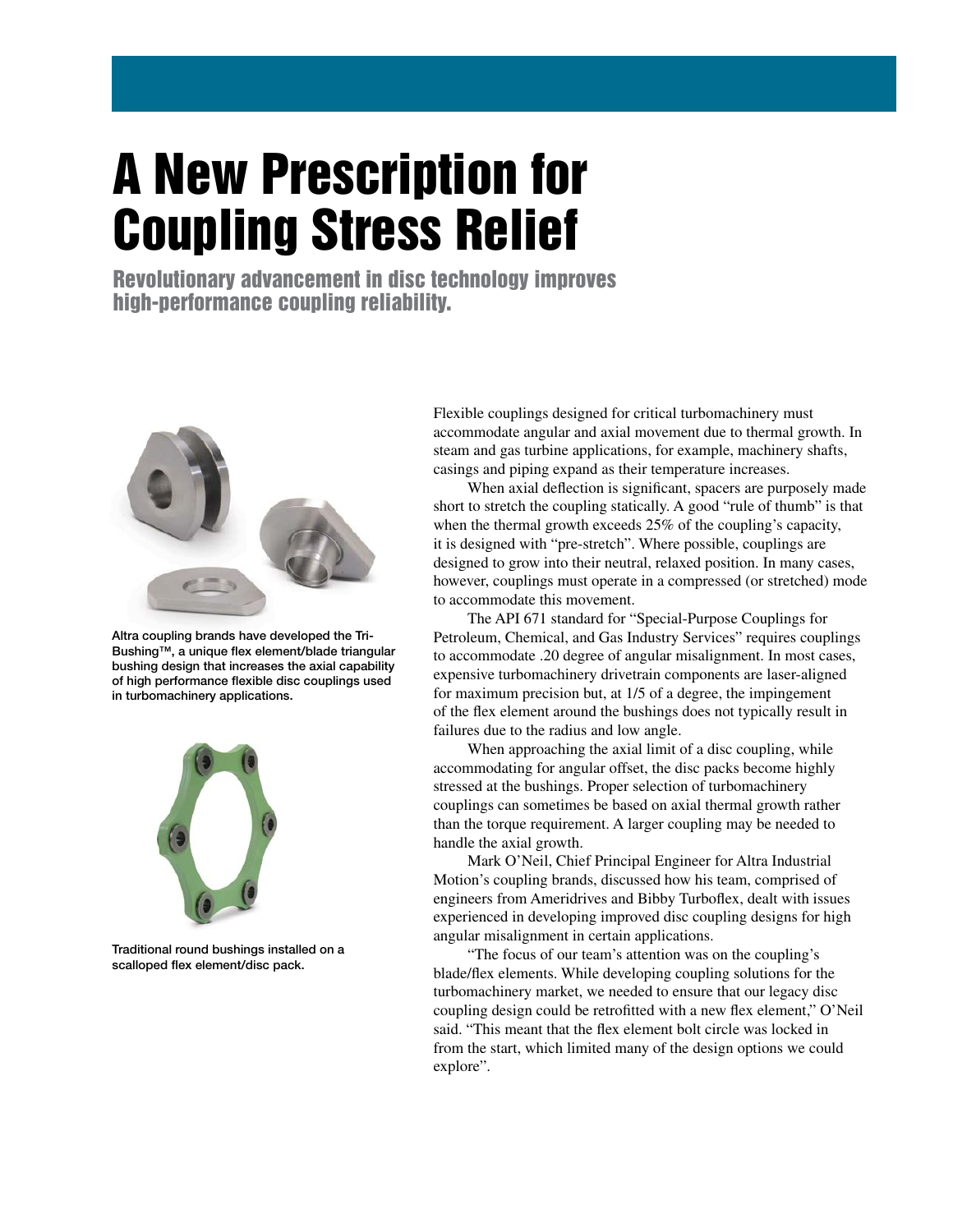## A New Prescription for Coupling Stress Relief

Revolutionary advancement in disc technology improves high-performance coupling reliability.



Altra coupling brands have developed the Tri-Bushing™, a unique flex element/blade triangular bushing design that increases the axial capability of high performance flexible disc couplings used in turbomachinery applications.



Traditional round bushings installed on a scalloped flex element/disc pack.

Flexible couplings designed for critical turbomachinery must accommodate angular and axial movement due to thermal growth. In steam and gas turbine applications, for example, machinery shafts, casings and piping expand as their temperature increases.

 When axial deflection is significant, spacers are purposely made short to stretch the coupling statically. A good "rule of thumb" is that when the thermal growth exceeds 25% of the coupling's capacity, it is designed with "pre-stretch". Where possible, couplings are designed to grow into their neutral, relaxed position. In many cases, however, couplings must operate in a compressed (or stretched) mode to accommodate this movement.

 The API 671 standard for "Special-Purpose Couplings for Petroleum, Chemical, and Gas Industry Services" requires couplings to accommodate .20 degree of angular misalignment. In most cases, expensive turbomachinery drivetrain components are laser-aligned for maximum precision but, at 1/5 of a degree, the impingement of the flex element around the bushings does not typically result in failures due to the radius and low angle.

 When approaching the axial limit of a disc coupling, while accommodating for angular offset, the disc packs become highly stressed at the bushings. Proper selection of turbomachinery couplings can sometimes be based on axial thermal growth rather than the torque requirement. A larger coupling may be needed to handle the axial growth.

 Mark O'Neil, Chief Principal Engineer for Altra Industrial Motion's coupling brands, discussed how his team, comprised of engineers from Ameridrives and Bibby Turboflex, dealt with issues experienced in developing improved disc coupling designs for high angular misalignment in certain applications.

 "The focus of our team's attention was on the coupling's blade/flex elements. While developing coupling solutions for the turbomachinery market, we needed to ensure that our legacy disc coupling design could be retrofitted with a new flex element," O'Neil said. "This meant that the flex element bolt circle was locked in from the start, which limited many of the design options we could explore".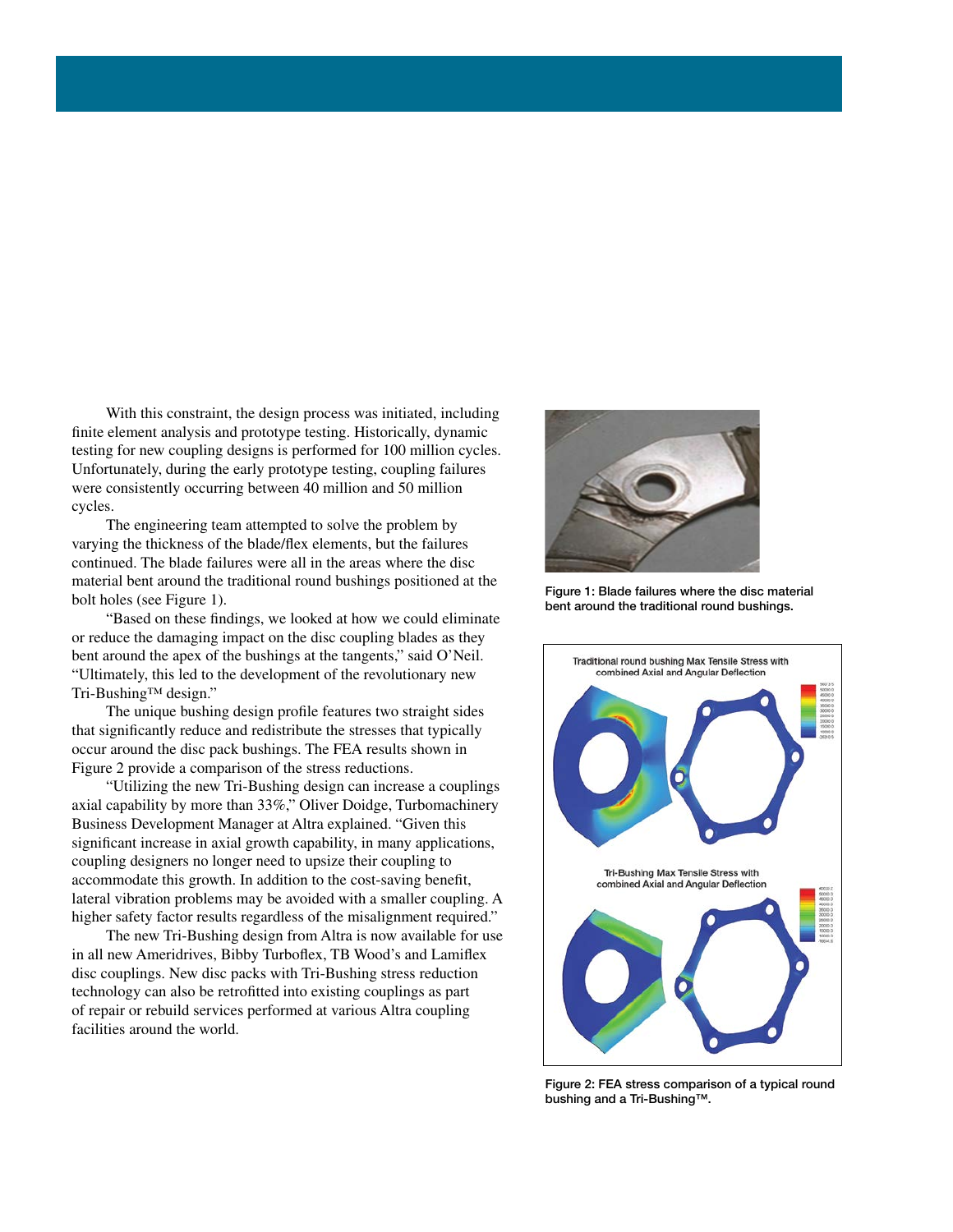With this constraint, the design process was initiated, including finite element analysis and prototype testing. Historically, dynamic testing for new coupling designs is performed for 100 million cycles. Unfortunately, during the early prototype testing, coupling failures were consistently occurring between 40 million and 50 million cycles.

 The engineering team attempted to solve the problem by varying the thickness of the blade/flex elements, but the failures continued. The blade failures were all in the areas where the disc material bent around the traditional round bushings positioned at the bolt holes (see Figure 1).

 "Based on these findings, we looked at how we could eliminate or reduce the damaging impact on the disc coupling blades as they bent around the apex of the bushings at the tangents," said O'Neil. "Ultimately, this led to the development of the revolutionary new Tri-Bushing™ design."

 The unique bushing design profile features two straight sides that significantly reduce and redistribute the stresses that typically occur around the disc pack bushings. The FEA results shown in Figure 2 provide a comparison of the stress reductions.

 "Utilizing the new Tri-Bushing design can increase a couplings axial capability by more than 33%," Oliver Doidge, Turbomachinery Business Development Manager at Altra explained. "Given this significant increase in axial growth capability, in many applications, coupling designers no longer need to upsize their coupling to accommodate this growth. In addition to the cost-saving benefit, lateral vibration problems may be avoided with a smaller coupling. A higher safety factor results regardless of the misalignment required."

 The new Tri-Bushing design from Altra is now available for use in all new Ameridrives, Bibby Turboflex, TB Wood's and Lamiflex disc couplings. New disc packs with Tri-Bushing stress reduction technology can also be retrofitted into existing couplings as part of repair or rebuild services performed at various Altra coupling facilities around the world.



Figure 1: Blade failures where the disc material bent around the traditional round bushings.



Figure 2: FEA stress comparison of a typical round bushing and a Tri-Bushing™.